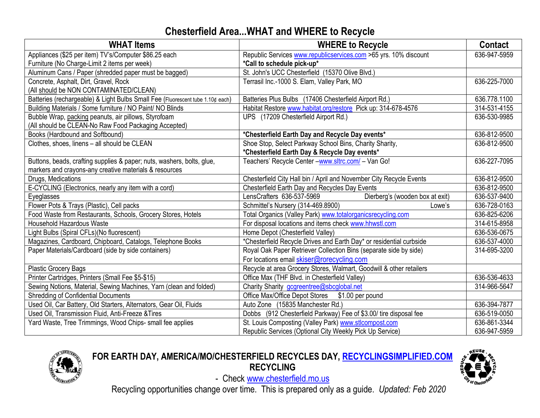# **Chesterfield Area...WHAT and WHERE to Recycle**

| <b>WHAT Items</b>                                                              | <b>WHERE to Recycle</b>                                             | <b>Contact</b> |
|--------------------------------------------------------------------------------|---------------------------------------------------------------------|----------------|
| Appliances (\$25 per item) TV's/Computer \$86.25 each                          | Republic Services www.republicservices.com >65 yrs. 10% discount    | 636-947-5959   |
| Furniture (No Charge-Limit 2 items per week)                                   | *Call to schedule pick-up*                                          |                |
| Aluminum Cans / Paper (shredded paper must be bagged)                          | St. John's UCC Chesterfield (15370 Olive Blvd.)                     |                |
| Concrete, Asphalt, Dirt, Gravel, Rock                                          | Terrasil Inc.-1000 S. Elam, Valley Park, MO                         | 636-225-7000   |
| (All should be NON CONTAMINATED/CLEAN)                                         |                                                                     |                |
| Batteries (rechargeable) & Light Bulbs Small Fee (Fluorescent tube 1.10¢ each) | Batteries Plus Bulbs (17406 Chesterfield Airport Rd.)               | 636.778.1100   |
| Building Materials / Some furniture / NO Paint/ NO Blinds                      | Habitat Restore www.habitat.org/restore Pick up: 314-678-4576       | 314-531-4155   |
| Bubble Wrap, packing peanuts, air pillows, Styrofoam                           | UPS (17209 Chesterfield Airport Rd.)                                | 636-530-9985   |
| (All should be CLEAN-No Raw Food Packaging Accepted)                           |                                                                     |                |
| Books (Hardbound and Softbound)                                                | *Chesterfield Earth Day and Recycle Day events*                     | 636-812-9500   |
| Clothes, shoes, linens - all should be CLEAN                                   | Shoe Stop, Select Parkway School Bins, Charity Sharity,             | 636-812-9500   |
|                                                                                | *Chesterfield Earth Day & Recycle Day events*                       |                |
| Buttons, beads, crafting supplies & paper; nuts, washers, bolts, glue,         | Teachers' Recycle Center - <b>www.sltrc.com/</b> - Van Go!          | 636-227-7095   |
| markers and crayons-any creative materials & resources                         |                                                                     |                |
| Drugs, Medications                                                             | Chesterfield City Hall bin / April and November City Recycle Events | 636-812-9500   |
| E-CYCLING (Electronics, nearly any item with a cord)                           | Chesterfield Earth Day and Recycles Day Events                      | 636-812-9500   |
| Eyeglasses                                                                     | Dierberg's (wooden box at exit)<br>LensCrafters 636-537-5969        | 636-537-9400   |
| Flower Pots & Trays (Plastic), Cell packs                                      | Schmittel's Nursery (314-469.8900)<br>Lowe's                        | 636-728-0163   |
| Food Waste from Restaurants, Schools, Grocery Stores, Hotels                   | Total Organics (Valley Park) www.totalorganicsrecycling.com         | 636-825-6206   |
| <b>Household Hazardous Waste</b>                                               | For disposal locations and items check www.hhwstl.com               | 314-615-8958   |
| Light Bulbs (Spiral CFLs)(No fluorescent)                                      | Home Depot (Chesterfield Valley)                                    | 636-536-0675   |
| Magazines, Cardboard, Chipboard, Catalogs, Telephone Books                     | *Chesterfield Recycle Drives and Earth Day* or residential curbside | 636-537-4000   |
| Paper Materials/Cardboard (side by side containers)                            | Royal Oak Paper Retriever Collection Bins (separate side by side)   | 314-695-3200   |
|                                                                                | For locations email skiser@rorecycling.com                          |                |
| <b>Plastic Grocery Bags</b>                                                    | Recycle at area Grocery Stores, Walmart, Goodwill & other retailers |                |
| Printer Cartridges, Printers (Small Fee \$5-\$15)                              | Office Max (THF Blvd. in Chesterfield Valley)                       | 636-536-4633   |
| Sewing Notions, Material, Sewing Machines, Yarn (clean and folded)             | Charity Sharity gcgreentree@sbcglobal.net                           | 314-966-5647   |
| <b>Shredding of Confidential Documents</b>                                     | Office Max/Office Depot Stores<br>\$1.00 per pound                  |                |
| Used Oil, Car Battery, Old Starters, Alternators, Gear Oil, Fluids             | Auto Zone (15835 Manchester Rd.)                                    | 636-394-7877   |
| Used Oil, Transmission Fluid, Anti-Freeze & Tires                              | Dobbs (912 Chesterfield Parkway) Fee of \$3.00/ tire disposal fee   | 636-519-0050   |
| Yard Waste, Tree Trimmings, Wood Chips- small fee applies                      | St. Louis Composting (Valley Park) www.stlcompost.com               | 636-861-3344   |
|                                                                                | Republic Services (Optional City Weekly Pick Up Service)            | 636-947-5959   |



## **FOR EARTH DAY, AMERICA/MO/CHESTERFIELD RECYCLES DAY, RECYCLINGSIMPLIFIED.COM RECYCLING**



- Check [www.chesterfield.mo.us](http://www.chesterfield.mo.us/)

Recycling opportunities change over time. This is prepared only as a guide. *Updated: Feb 2020*